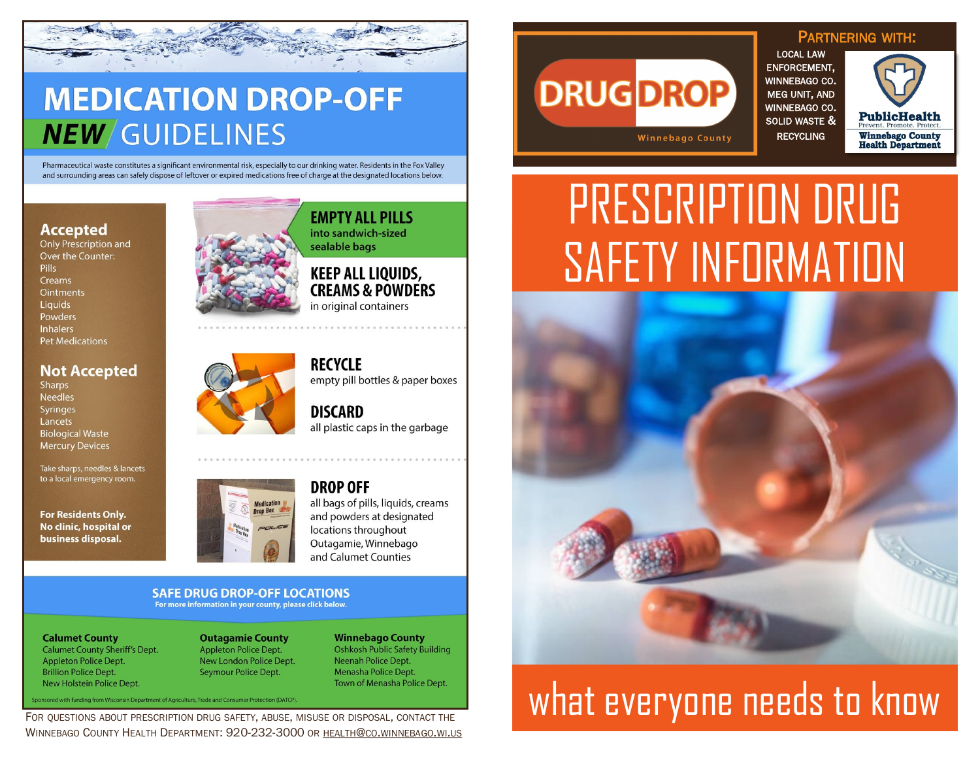

## **MEDICATION DROP-OFF NEW** GUIDELINES

Pharmaceutical waste constitutes a significant environmental risk, especially to our drinking water. Residents in the Fox Valley and surrounding areas can safely dispose of leftover or expired medications free of charge at the designated locations below.

#### **Accepted**

**Only Prescription and** Over the Counter: Pills Creams **Ointments** Liquids Powders **Inhalers Pet Medications** 

#### **Not Accepted**

**Sharps Needles** Syringes Lancets **Biological Waste Mercury Devices** 

Take sharps, needles & lancets to a local emergency room.

**For Residents Only.** No clinic, hospital or business disposal.



**EMPTY ALL PILLS** into sandwich-sized sealable bags

#### **KEEP ALL LIQUIDS, CREAMS & POWDERS** in original containers

**RECYCLE** empty pill bottles & paper boxes

**DISCARD** all plastic caps in the garbage



#### **DROP OFF** all bags of pills, liquids, creams and powders at designated locations throughout Outagamie, Winnebago and Calumet Counties

#### **SAFE DRUG DROP-OFF LOCATIONS** For more information in your county, please click below.

**Calumet County Calumet County Sheriff's Dept. Appleton Police Dept. Brillion Police Dept.** 

**Outagamie County Appleton Police Dept.** New London Police Dept. Seymour Police Dept.

**Winnebago County Oshkosh Public Safety Building** Neenah Police Dept. Menasha Police Dept.

WINNEBAGO COUNTY HEALTH DEPARTMENT: 920-232-3000 OR HEALTH@CO.WINNEBAGO.WI.US

## **DRUG DROP Winnebago County**

PARTNERING WITH: LOCAL LAW ENFORCEMENT, WINNEBAGO CO. MEG UNIT, AND WINNEBAGO CO. SOLID WASTE & RECYCLING



# PRESCRIPTION DRUG SAFETY INFORMATION



# New Holstein Police Dept.<br>For QUESTIONS ABOUT PRESCRIPTION DRUG SAFETY, ABUSE, MISUSE OR DISPOSAL, CONTACT THE WILL BURDER MEDIANTION DRUG SAFETY, ABUSE, MISUSE OR DISPOSAL, CONTACT THE